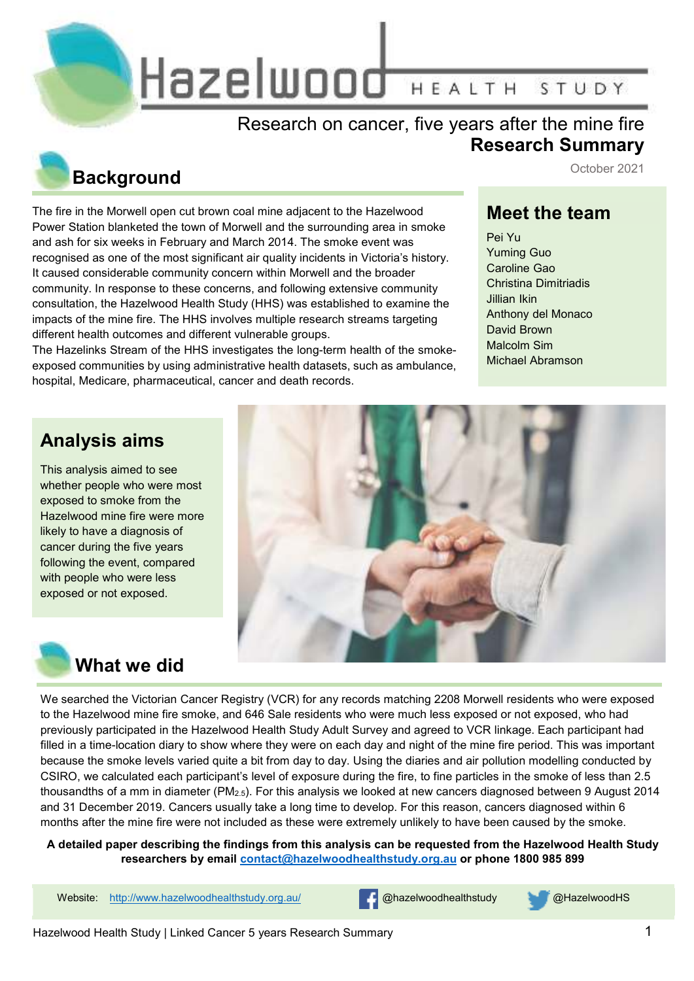# Hazelwood HEALTH STUDY

#### Research on cancer, five years after the mine fire **Research Summary**

## **Background**

The fire in the Morwell open cut brown coal mine adjacent to the Hazelwood Power Station blanketed the town of Morwell and the surrounding area in smoke and ash for six weeks in February and March 2014. The smoke event was recognised as one of the most significant air quality incidents in Victoria's history. It caused considerable community concern within Morwell and the broader community. In response to these concerns, and following extensive community consultation, the Hazelwood Health Study (HHS) was established to examine the impacts of the mine fire. The HHS involves multiple research streams targeting different health outcomes and different vulnerable groups.

The Hazelinks Stream of the HHS investigates the long-term health of the smokeexposed communities by using administrative health datasets, such as ambulance, hospital, Medicare, pharmaceutical, cancer and death records.

#### **Meet the team**

October 2021

Pei Yu Yuming Guo Caroline Gao Christina Dimitriadis Jillian Ikin Anthony del Monaco David Brown Malcolm Sim Michael Abramson

## **Analysis aims**

This analysis aimed to see whether people who were most exposed to smoke from the Hazelwood mine fire were more likely to have a diagnosis of cancer during the five years following the event, compared with people who were less exposed or not exposed.





We searched the Victorian Cancer Registry (VCR) for any records matching 2208 Morwell residents who were exposed to the Hazelwood mine fire smoke, and 646 Sale residents who were much less exposed or not exposed, who had previously participated in the Hazelwood Health Study Adult Survey and agreed to VCR linkage. Each participant had filled in a time-location diary to show where they were on each day and night of the mine fire period. This was important because the smoke levels varied quite a bit from day to day. Using the diaries and air pollution modelling conducted by CSIRO, we calculated each participant's level of exposure during the fire, to fine particles in the smoke of less than 2.5 thousandths of a mm in diameter (PM2.5). For this analysis we looked at new cancers diagnosed between 9 August 2014 and 31 December 2019. Cancers usually take a long time to develop. For this reason, cancers diagnosed within 6 months after the mine fire were not included as these were extremely unlikely to have been caused by the smoke.

**A detailed paper describing the findings from this analysis can be requested from the Hazelwood Health Study researchers by email contact@hazelwoodhealthstudy.org.au or phone 1800 985 899** 

Website: http://www.hazelwoodhealthstudy.org.au/ **@hazelwoodhealthstudy @HazelwoodHS**